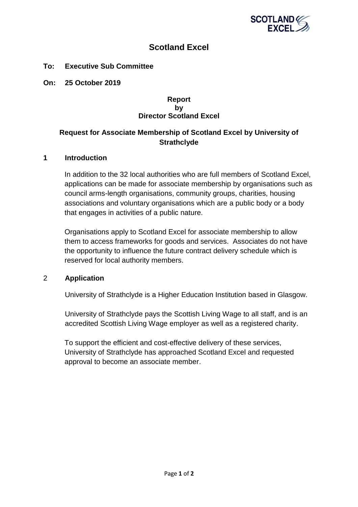

# **Scotland Excel**

### **To: Executive Sub Committee**

**On: 25 October 2019**

#### **Report by Director Scotland Excel**

# **Request for Associate Membership of Scotland Excel by University of Strathclyde**

#### **1 Introduction**

In addition to the 32 local authorities who are full members of Scotland Excel, applications can be made for associate membership by organisations such as council arms-length organisations, community groups, charities, housing associations and voluntary organisations which are a public body or a body that engages in activities of a public nature.

Organisations apply to Scotland Excel for associate membership to allow them to access frameworks for goods and services. Associates do not have the opportunity to influence the future contract delivery schedule which is reserved for local authority members.

#### 2 **Application**

University of Strathclyde is a Higher Education Institution based in Glasgow.

University of Strathclyde pays the Scottish Living Wage to all staff, and is an accredited Scottish Living Wage employer as well as a registered charity.

To support the efficient and cost-effective delivery of these services, University of Strathclyde has approached Scotland Excel and requested approval to become an associate member.